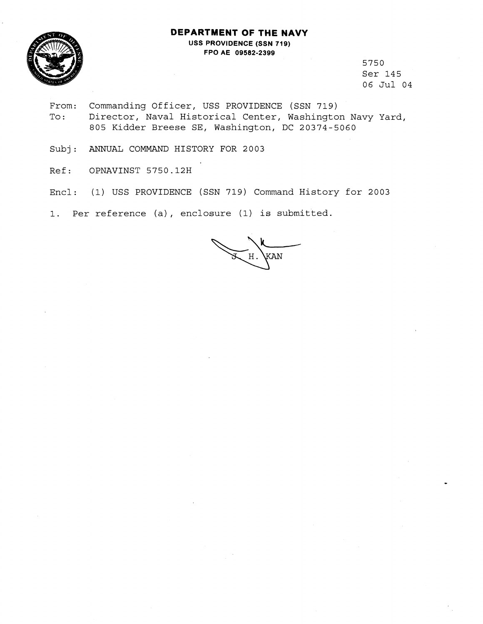## **DEPARTMENT OF THE NAVY**



**USS PROVIDENCE (SSN 719) FPO AE 09582-2399** 

> 5750 Ser 145 06 Jul 04

- From: Commanding Officer, USS PROVIDENCE (SSN 719) To: Director, Naval Historical Center, Washington Navy Yard, 805 Kidder Breese SE, Washington, DC 20374-5060
- Subj: ANNUAL COMMAND HISTORY FOR 2003
- Ref: OPNAVINST 5750.12H
- Encl: (1) USS PROVIDENCE (SSN 719) Command History for 2003

1. Per reference (a), enclosure (1) is submitted.

KAN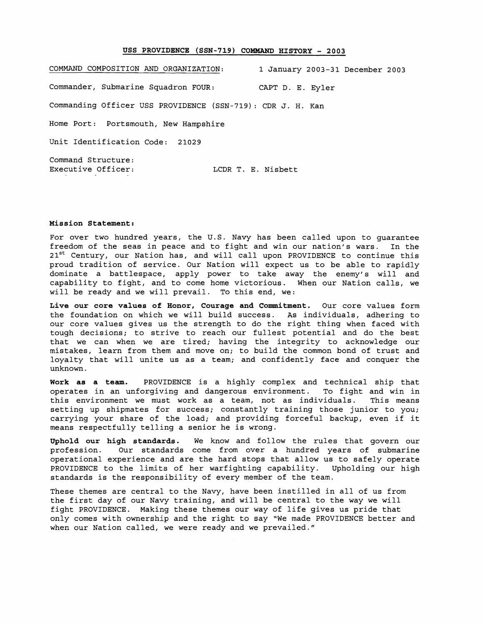## USS PROVIDENCE (SSN-719) COMMAND HISTORY - 2003

COMMAND COMPOSITION AND ORGANIZATION: **1** January **2003-31** December **2003**  Commander, Submarine Squadron FOUR: CAPT D. E. Eyler Commanding Officer USS PROVIDENCE (SSN-719): CDR J. H. Kan Home Port: Portsmouth, New Hampshire Unit Identification Code: **21029**  Command Structure: Executive Officer: LCDR T. E. Nisbett

## **Mission Statement:**

For over two hundred years, the U.S. Navy has been called upon to guarantee freedom of the seas in peace and to fight and win our nation's wars. In the 21<sup>st</sup> Century, our Nation has, and will call upon PROVIDENCE to continue this proud tradition of service. Our Nation will expect us to be able to rapidly dominate a battlespace, apply power to take away the enemy's will and capability to fight, and to come home victorious. When our Nation calls, we will be ready and we will prevail. To this end, we:

**Live our core values of Honor, Courage and Commitment.** Our core values form the foundation on which we will build success. As individuals, adhering to our core values gives us the strength to do the right thing when faced with tough decisions; to strive to reach our fullest potential and do the best that we can when we are tired; having the integrity to acknowledge our mistakes, learn from them and move on; to build the common bond of trust and loyalty that will unite us as a team; and confidently face and conquer the unknown.

**Work as a team.** PROVIDENCE is a highly complex and technical ship that operates in an unforgiving and dangerous environment. To fight and win in this environment we must work as a team, not as individuals. This means setting up shipmates for success; constantly training those junior to you; carrying your share of the load; and providing forceful backup, even if it means respectfully telling a senior he is wrong.

**Uphold our high standards.** We know and follow the rules that govern our profession. Our standards come from over a hundred years of submarine operational experience and are the hard stops that allow us to safely operate PROVIDENCE to the limits of her warfighting capability. Upholding our high standards is the responsibility of every member of the team.

These themes are central to the Navy, have been instilled in all of us from the first day of our Navy training, and will be central to the way we will fight PROVIDENCE. Making these themes our way of life gives us pride that only comes with ownership and the right to say "We made PROVIDENCE better and when our Nation called, we were ready and we prevailed."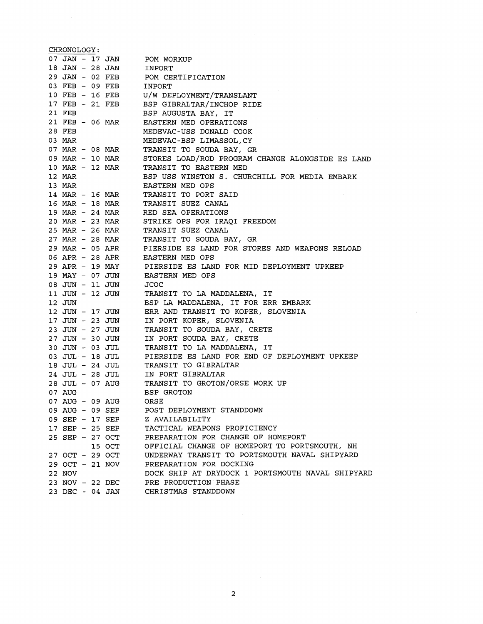CHRONOLOGY: 07 JAN- 17 JAN <sup>18</sup>JAN - 28 JAN <sup>29</sup>JAN - 02 FEB <sup>03</sup>FEB - 09 FEB <sup>10</sup>FEB - 16 FEB <sup>17</sup>FEB - 21 FEB 21 FEB <sup>21</sup>FEB - 06 MAR 28 FEB 03 MAR <sup>07</sup>*MAR* - 08 *MAR*  <sup>09</sup>**MAR** - 10 *MAR*  <sup>10</sup>*MAR* - 12 *MAR*  12 *MAR*  13 *MAR*  <sup>14</sup>*MAR* - 16 *MAR*  <sup>16</sup>*MAR* - 18 **MAR**  <sup>19</sup>**MAR** - 24 *MAR*  20 MAR - 23 *MAR*  <sup>25</sup>*MAR* - 26 **MAR**  <sup>27</sup>*MAR* - 28 *MAR*  <sup>29</sup>MAR - 05 APR <sup>06</sup>APR - 28 APR <sup>29</sup>APR - 19 MAY <sup>19</sup>MAY - 07 JUN <sup>08</sup>JUN - 11 JUN 11 JUN - 12 JUN 12 JUN <sup>12</sup>JUN - 17 JUN <sup>17</sup>JUN - 23 JUN <sup>23</sup>JUN - 27 JUN <sup>27</sup>JUN - 30 JUN <sup>30</sup>JUN - 03 JUL <sup>03</sup>JUL - 18 JUL <sup>18</sup>JUL - 24 JUL <sup>24</sup>JUL - 28 JUL <sup>28</sup>JUL - 07 AUG 07 AUG <sup>07</sup>AUG - 09 AUG <sup>09</sup>AUG - 09 SEP <sup>09</sup>SEP - 17 SEP <sup>17</sup>SEP - 25 SEP <sup>25</sup>SEP - 27 OCT 15 OCT <sup>27</sup>OCT - 29 OCT <sup>29</sup>OCT - 21 NOV 22 NOV <sup>23</sup>NOV - 22 DEC 23 DEC - 04 JAN POM WORKUP INPORT POM CERTIFICATION INPORT U/W DEPLOYMENT/TRANSLANT BSP GIBRALTAR/INCHOP RIDE BSP AUGUSTA BAY, IT EASTERN MED OPERATIONS MEDEVAC-USS DONALD COOK MEDEVAC-BSP LIMASSOL,CY TRANSIT TO SOUDA BAY, GR STORES LOAD/ROD PROGRAM CHANGE ALONGSIDE ES LAND TRANSIT TO EASTERN MED BSP USS WINSTON S. CHURCHILL FOR MEDIA EMBARK EASTERN MED OPS TRANSIT TO PORT SAID TRANSIT SUEZ CANAL RED SEA OPERATIONS STRIKE OPS FOR IRAQI FREEDOM TRANSIT SUEZ CANAL TRANSIT TO SOUDA BAY, GR PIERSIDE ES LAND FOR STORES AND WEAPONS RELOAD EASTERN MED OPS PIERSIDE ES LAND FOR MID DEPLOYMENT UPKEEP EASTERN MED OPS JCOC TRANSIT TO LA MADDALENA, IT BSP LA MADDALENA, IT FOR ERR EMBARK ERR AND TRANSIT TO KOPER, SLOVENIA IN PORT KOPER, SLOVENIA TRANSIT TO SOUDA BAY, CRETE IN PORT SOUDA BAY, CRETE TRANSIT TO LA MADDALENA, IT PIERSIDE ES LAND FOR END OF DEPLOYMENT UPKEEP TRANSIT TO GIBRALTAR IN PORT GIBRALTAR TRANSIT TO GROTON/ORSE WORK UP BSP GROTON ORSE POST DEPLOYMENT STANDDOWN Z AVAILABILITY TACTICAL WEAPONS PROFICIENCY PREPARATION FOR CHANGE OF HOMEPORT OFFICIAL CHANGE OF HOMEPORT TO PORTSMOUTH, NH UNDERWAY TRANSIT TO PORTSMOUTH NAVAL SHIPYARD PREPARATION FOR DOCKING DOCK SHIP AT DRYDOCK 1 PORTSMOUTH NAVAL SHIPYARD PRE PRODUCTION PHASE CHRISTMAS STANDDOWN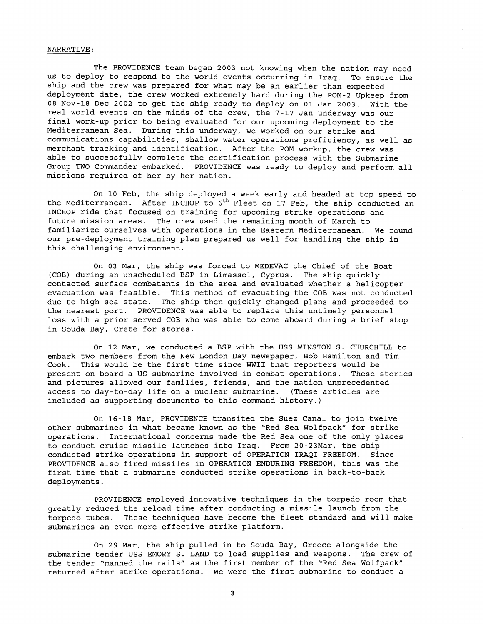## NARRATIVE :

The PROVIDENCE team began 2003 not knowing when the nation may need us to deploy to respond to the world events occurring in Iraq. To ensure the ship and the crew was prepared for what may be an earlier than expected deployment date, the crew worked extremely hard during the POM-2 Upkeep from 08 Nov-18 Dec 2002 to get the ship ready to deploy on 01 Jan 2003. With the real world events on the minds of the crew, the 7-17 Jan underway was our final work-up prior to being evaluated for our upcoming deployment to the Mediterranean Sea. During this underway, we worked on our strike and communications capabilities, shallow water operations proficiency, as well as merchant tracking and identification. After the POM workup, the crew was able to successfully complete the certification process with the Submarine Group TWO Commander embarked. PROVIDENCE was ready to deploy and perform all missions required of her by her nation.

On 10 Feb, the ship deployed a week early and headed at top speed to the Mediterranean. After INCHOP to  $6<sup>th</sup>$  Fleet on 17 Feb, the ship conducted an INCHOP ride that focused on training for upcoming strike operations and future mission areas. The crew used the remaining month of March to familiarize ourselves with operations in the Eastern Mediterranean. We found our pre-deployment training plan prepared us well for handling the ship in this challenging environment.

On 03 Mar, the ship was forced to MEDEVAC the Chief of the Boat (COB) during an unscheduled BSP in Limassol, Cyprus. The ship quickly contacted surface combatants in the area and evaluated whether a helicopter evacuation was feasible. This method of evacuating the COB was not conducted due to high sea state. The ship then quickly changed plans and proceeded to the nearest port. PROVIDENCE was able to replace this untimely personnel loss with a prior served COB who was able to come aboard during a brief stop in Souda Bay, Crete for stores.

On 12 Mar, we conducted a BSP with the USS WINSTON S. CHURCHILL to embark two members from the New London Day newspaper, Bob Hamilton and Tim Cook. This would be the first time since WWII that reporters would be present on board a US submarine involved in combat operations. These stories and pictures allowed our families, friends, and the nation unprecedented access to day-to-day life on a nuclear submarine. (These articles are included as supporting documents to this command history.)

On 16-18 Mar, PROVIDENCE transited the Suez Canal to join twelve other submarines in what became known as the "Red Sea Wolfpack" for strike operations. International concerns made the Red Sea one of the only places to conduct cruise missile launches into Iraq. From 20-23Mar, the ship conducted strike operations in support of OPERATION IRAQI FREEDOM. Since PROVIDENCE also fired missiles in OPERATION ENDURING FREEDOM, this was the first time that a submarine conducted strike operations in back-to-back deployments.

PROVIDENCE employed innovative techniques in the torpedo room that greatly reduced the reload time after conducting a missile launch from the torpedo tubes. These techniques have become the fleet standard and will make submarines an even more effective strike platform.

On 29 Mar, the ship pulled in to Souda Bay, Greece alongside the submarine tender USS EMORY S. LAND to load supplies and weapons. The crew of the tender "manned the rails" as the first member of the "Red Sea Wolfpack" returned after strike operations. We were the first submarine to conduct a

3